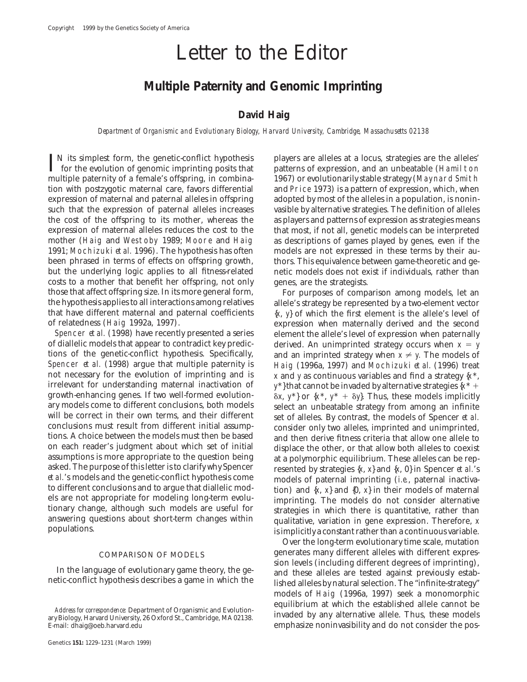# Letter to the Editor

## **Multiple Paternity and Genomic Imprinting**

### **David Haig**

*Department of Organismic and Evolutionary Biology, Harvard University, Cambridge, Massachusetts 02138*

 $\prod_{\text{N}}$  its simplest form, the genetic-conflict hypothesis players are alleles at a locus, strategies are the alleles'<br>for the evolution of genomic imprinting posits that patterns of expression, and an unbeatable (Hami multiple paternity of a female's offspring, in combina-<br>
tion with postzygotic maternal care, favors differential and Price 1973) is a pattern of expression, which, when expression of maternal and paternal alleles in offspring adopted by most of the alleles in a population, is noninsuch that the expression of paternal alleles increases vasible by alternative strategies. The definition of alleles the cost of the offspring to its mother, whereas the as players and patterns of expression as strategies means expression of maternal alleles reduces the cost to the that most, if not all, genetic models can be interpreted mother (Haig and Westoby 1989; Moore and Haig as descriptions of games played by genes, even if the 1991; Mochizuki *et al.* 1996). The hypothesis has often models are not expressed in these terms by their aubeen phrased in terms of effects on offspring growth, thors. This equivalence between game-theoretic and ge-<br>but the underlying logic applies to all fitness-related netic models does not exist if individuals, rather than costs to a mother that benefit her offspring, not only genes, are the strategists. those that affect offspring size. In its more general form, For purposes of comparison among models, let an the hypothesis applies to all interactions among relatives allele's strategy be represented by a two-element vecto that have different maternal and paternal coefficients  $\{x, y\}$  of which the first element is the allele's level of of relatedness (Haig 1992a, 1997).

of diallelic models that appear to contradict key predic-<br>tions of the genetic-conflict hypothesis. Specifically, and an imprinted strategy when  $x \neq y$ . The models of tions of the genetic-conflict hypothesis. Specifically, and an imprinted strategy when  $x \neq y$ . The models of Spencer *et al.* (1998) argue that multiple paternity is Haig (1996a, 1997) and Mochizuki *et al.* (1996) treat Spencer *et al.* (1998) argue that multiple paternity is Haig (1996a, 1997) and Mochizuki *et al.* (1996) treat not necessary for the evolution of imprinting and is  $x$  and v as continuous variables and find a strategy  $\$ not necessary for the evolution of imprinting and is  $x$  and  $y$  as continuous variables and find a strategy  $\{x^*,$ <br>irrelevant for understanding maternal inactivation of  $x^*\}$  that cannot be invaded by alternative strat irrelevant for understanding maternal inactivation of *y*\*} that cannot be invaded by alternative strategies  $\{x^* +$  growth-enhancing genes. If two well-formed evolution-<br> $\delta x$   $y^*$  or  $\{x^* - y^* + \delta y\}$ . Thus these mode growth-enhancing genes. If two well-formed evolution-<br>ary models come to different conclusions, both models<br>select an unbeatable strategy from among an infinite ary models come to different conclusions, both models select an unbeatable strategy from among an infinite will be correct in their own terms, and their different set of alleles. By contrast, the models of Spencer *et al* will be correct in their own terms, and their different set of alleles. By contrast, the models of Spencer *et al.*<br>
conclusions must result from different initial assump-<br>
consider only two alleles imprinted and unimprint conclusions must result from different initial assump-<br>tions. A choice between the models must then be based and then derive fitness criteria that allow one allele to<br>on each reader's judgment about which set of initial di on each reader's judgment about which set of initial displace the other, or that allow both alleles to coexist<br>assumptions is more appropriate to the question being<br>asked. The purpose of this letter is to clarify why Spen *et al.*'s models and the genetic-conflict hypothesis come<br>to different conclusions and to argue that diallelic model<br>tion) and  $\{x, x\}$  and  $\{0, x\}$  in their models of maternal<br>els are not appropriate for modeling long els are not appropriate for modeling long-term evolu-<br>tionary change, although such models are useful for<br>answering questions about short-term changes within<br>populations.<br>is implicitly a constant rather than a continuous v

for the evolution of genomic imprinting posits that patterns of expression, and an unbeatable (Hamilton and Price 1973) is a pattern of expression, which, when models are not expressed in these terms by their aunetic models does not exist if individuals, rather than

allele's strategy be represented by a two-element vector f relatedness (Haig 1992a, 1997). expression when maternally derived and the second<br>Spencer *et al.* (1998) have recently presented a series element the allele's level of expression when paternally Spencer *et al.* (1998) have recently presented a series element the allele's level of expression when paternally of diallelic models that appear to contradict key predictionally derived. An unimprinted strategy occurs wh is implicitly a constant rather than a continuous variable.

Over the long-term evolutionary time scale, mutation COMPARISON OF MODELS generates many different alleles with different expres-<br>sion levels (including different degrees of imprinting), In the language of evolutionary game theory, the gearant describes a game in which the alleles are tested against previously established alleles by natural selection. The "infinite-strategy" models of Haig (1996a, 1997) seek a monomorphic *Address for correspondence:* Department of Organismic and Evolution-<br>ary Biology, Harvard University, 26 Oxford St., Cambridge, MA 02138.<br>E-mail: dhaig@oeb.harvard.edu emphasize noninvasibility and do not consider the pos emphasize noninvasibility and do not consider the pos-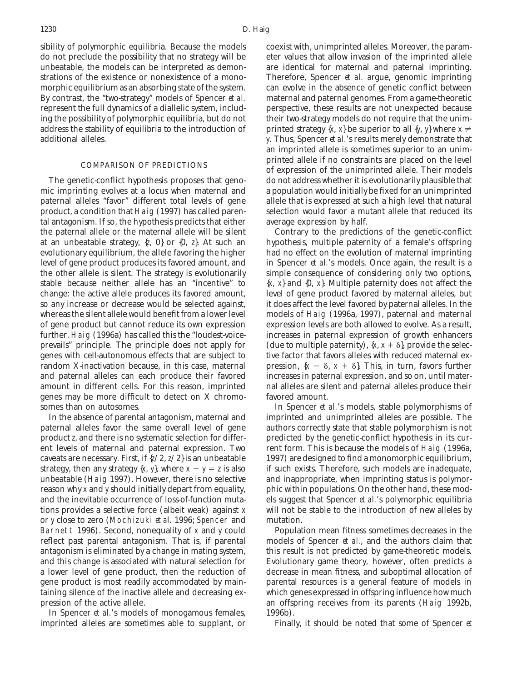sibility of polymorphic equilibria. Because the models coexist with, unimprinted alleles. Moreover, the paramdo not preclude the possibility that no strategy will be eter values that allow invasion of the imprinted allele unbeatable, the models can be interpreted as demon- are identical for maternal and paternal imprinting. strations of the existence or nonexistence of a mono- Therefore, Spencer *et al.* argue, genomic imprinting morphic equilibrium as an absorbing state of the system. can evolve in the absence of genetic conflict between By contrast, the "two-strategy" models of Spencer *et al.* maternal and paternal genomes. From a game-theoretic represent the full dynamics of a diallelic system, includ- perspective, these results are not unexpected because ing the possibility of polymorphic equilibria, but do not their two-strategy models do not require that the unimaddress the stability of equilibria to the introduction of printed strategy {*x*, *x*} be superior to all {*y*, *y*} where  $x \neq 0$ additional alleles. *y.* Thus, Spencer *et al.*'s results merely demonstrate that

mic imprinting evolves at a locus when maternal and a population would initially be fixed for an unimprinted paternal alleles "favor" different total levels of gene allele that is expressed at such a high level that natural product, a condition that Haig (1997) has called paren- selection would favor a mutant allele that reduced its tal antagonism. If so, the hypothesis predicts that either average expression by half. the paternal allele or the maternal allele will be silent Contrary to the predictions of the genetic-conflict at an unbeatable strategy, {*z*, 0} or {0, *z*}. At such an hypothesis, multiple paternity of a female's offspring evolutionary equilibrium, the allele favoring the higher had no effect on the evolution of maternal imprinting level of gene product produces its favored amount, and in Spencer *et al.*'s models. Once again, the result is a the other allele is silent. The strategy is evolutionarily simple consequence of considering only two options, stable because neither allele has an "incentive" to  $\{x, x\}$  and  $\{0, x\}$ . Multiple paternity does not affect the change: the active allele produces its favored amount, level of gene product favored by maternal alleles, but so any increase or decrease would be selected against, it does affect the level favored by paternal alleles. In the whereas the silent allele would benefit from a lower level models of Haig (1996a, 1997), paternal and maternal of gene product but cannot reduce its own expression expression levels are both allowed to evolve. As a result, further. Haig (1996a) has called this the "loudest-voice- increases in paternal expression of growth enhancers prevails" principle. The principle does not apply for (due to multiple paternity),  $\{x, x + \delta\}$ , provide the selecgenes with cell-autonomous effects that are subject to tive factor that favors alleles with reduced maternal exrandom X-inactivation because, in this case, maternal pression,  ${x - \delta, x + \delta}$ . This, in turn, favors further and paternal alleles can each produce their favored increases in paternal expression, and so on, until materamount in different cells. For this reason, imprinted nal alleles are silent and paternal alleles produce their genes may be more difficult to detect on X chromo- favored amount. somes than on autosomes. **In Spencer** *et al.***'s models, stable polymorphisms of** 

paternal alleles favor the same overall level of gene authors correctly state that stable polymorphism is not product *z*, and there is no systematic selection for differ- predicted by the genetic-conflict hypothesis in its curent levels of maternal and paternal expression. Two rent form. This is because the models of Haig (1996a, caveats are necessary. First, if {*z*/2, *z*/2} is an unbeatable 1997) are designed to find a monomorphic equilibrium, strategy, then any strategy  $\{x, y\}$ , where  $x + y = z$  is also if such exists. Therefore, such models are inadequate, unbeatable (Haig 1997). However, there is no selective and inappropriate, when imprinting status is polymorreason why *x* and *y* should initially depart from equality, phic within populations. On the other hand, these modand the inevitable occurrence of loss-of-function muta- els suggest that Spencer *et al.*'s polymorphic equilibria tions provides a selective force (albeit weak) against *x* will not be stable to the introduction of new alleles by or *y* close to zero (Mochizuki *et al.* 1996; Spencer and mutation. Barnett 1996). Second, nonequality of *x* and *y* could Population mean fitness sometimes decreases in the antagonism is eliminated by a change in mating system, this result is not predicted by game-theoretic models. and this change is associated with natural selection for Evolutionary game theory, however, often predicts a pression of the active allele. The same offspring receives from its parents (Haig 1992b,

In Spencer *et al.*'s models of monogamous females, 1996b). imprinted alleles are sometimes able to supplant, or Finally, it should be noted that some of Spencer *et*

an imprinted allele is sometimes superior to an unimprinted allele if no constraints are placed on the level COMPARISON OF PREDICTIONS of expression of the unimprinted allele. Their models The genetic-conflict hypothesis proposes that geno- do not address whether it is evolutionarily plausible that

In the absence of parental antagonism, maternal and imprinted and unimprinted alleles are possible. The

reflect past parental antagonism. That is, if parental models of Spencer *et al.*, and the authors claim that a lower level of gene product, then the reduction of decrease in mean fitness, and suboptimal allocation of gene product is most readily accommodated by main- parental resources is a general feature of models in taining silence of the inactive allele and decreasing ex- which genes expressed in offspring influence how much